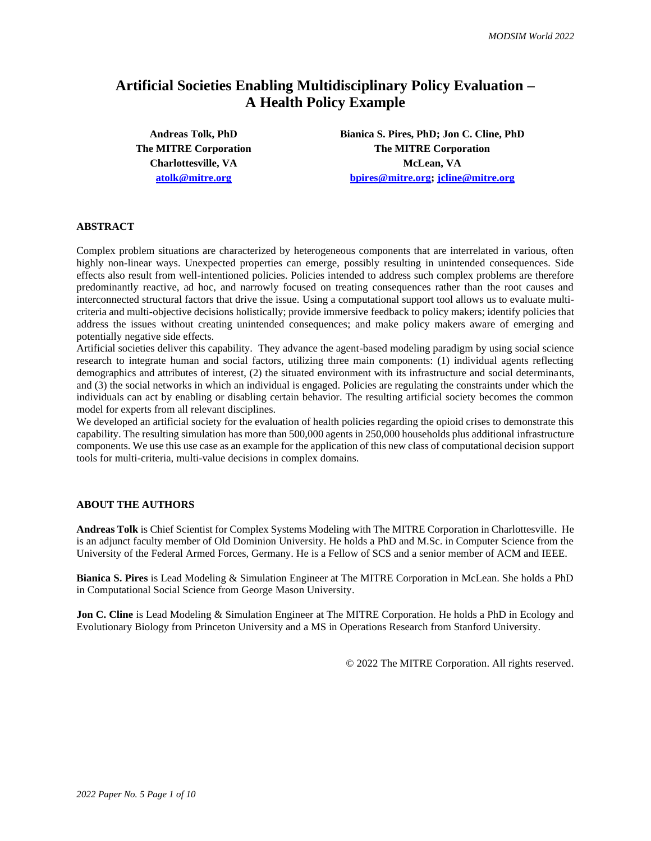# **Artificial Societies Enabling Multidisciplinary Policy Evaluation – A Health Policy Example**

**Andreas Tolk, PhD Bianica S. Pires, PhD; Jon C. Cline, PhD The MITRE Corporation The MITRE Corporation Charlottesville, VA McLean, VA [atolk@mitre.org](mailto:atolk@mitre.org) [bpires@mitre.org;](mailto:bpires@mitre.org) [jcline@mitre.org](mailto:jcline@mitre.org)**

#### **ABSTRACT**

Complex problem situations are characterized by heterogeneous components that are interrelated in various, often highly non-linear ways. Unexpected properties can emerge, possibly resulting in unintended consequences. Side effects also result from well-intentioned policies. Policies intended to address such complex problems are therefore predominantly reactive, ad hoc, and narrowly focused on treating consequences rather than the root causes and interconnected structural factors that drive the issue. Using a computational support tool allows us to evaluate multicriteria and multi-objective decisions holistically; provide immersive feedback to policy makers; identify policies that address the issues without creating unintended consequences; and make policy makers aware of emerging and potentially negative side effects.

Artificial societies deliver this capability. They advance the agent-based modeling paradigm by using social science research to integrate human and social factors, utilizing three main components: (1) individual agents reflecting demographics and attributes of interest, (2) the situated environment with its infrastructure and social determinants, and (3) the social networks in which an individual is engaged. Policies are regulating the constraints under which the individuals can act by enabling or disabling certain behavior. The resulting artificial society becomes the common model for experts from all relevant disciplines.

We developed an artificial society for the evaluation of health policies regarding the opioid crises to demonstrate this capability. The resulting simulation has more than 500,000 agents in 250,000 households plus additional infrastructure components. We use this use case as an example for the application of this new class of computational decision support tools for multi-criteria, multi-value decisions in complex domains.

#### **ABOUT THE AUTHORS**

**Andreas Tolk** is Chief Scientist for Complex Systems Modeling with The MITRE Corporation in Charlottesville. He is an adjunct faculty member of Old Dominion University. He holds a PhD and M.Sc. in Computer Science from the University of the Federal Armed Forces, Germany. He is a Fellow of SCS and a senior member of ACM and IEEE.

**Bianica S. Pires** is Lead Modeling & Simulation Engineer at The MITRE Corporation in McLean. She holds a PhD in Computational Social Science from George Mason University.

**Jon C. Cline** is Lead Modeling & Simulation Engineer at The MITRE Corporation. He holds a PhD in Ecology and Evolutionary Biology from Princeton University and a MS in Operations Research from Stanford University.

© 2022 The MITRE Corporation. All rights reserved.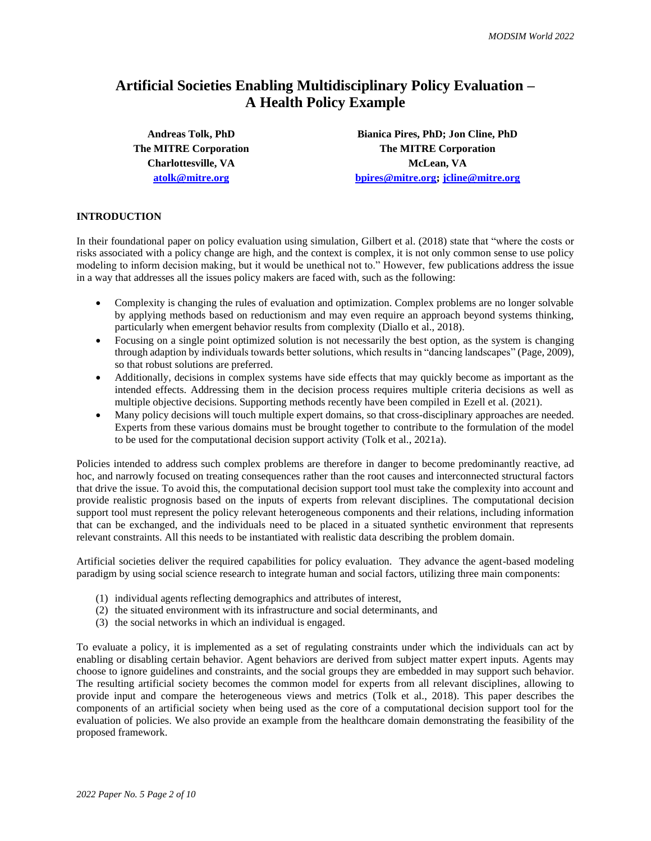# **Artificial Societies Enabling Multidisciplinary Policy Evaluation – A Health Policy Example**

**Andreas Tolk, PhD Bianica Pires, PhD; Jon Cline, PhD The MITRE Corporation The MITRE Corporation Charlottesville, VA McLean, VA [atolk@mitre.org](mailto:atolk@mitre.org) [bpires@mitre.org;](mailto:bpires@mitre.org) [jcline@mitre.org](mailto:jcline@mitre.org)**

## **INTRODUCTION**

In their foundational paper on policy evaluation using simulation, Gilbert et al. (2018) state that "where the costs or risks associated with a policy change are high, and the context is complex, it is not only common sense to use policy modeling to inform decision making, but it would be unethical not to." However, few publications address the issue in a way that addresses all the issues policy makers are faced with, such as the following:

- Complexity is changing the rules of evaluation and optimization. Complex problems are no longer solvable by applying methods based on reductionism and may even require an approach beyond systems thinking, particularly when emergent behavior results from complexity (Diallo et al., 2018).
- Focusing on a single point optimized solution is not necessarily the best option, as the system is changing through adaption by individuals towards better solutions, which results in "dancing landscapes" (Page, 2009), so that robust solutions are preferred.
- Additionally, decisions in complex systems have side effects that may quickly become as important as the intended effects. Addressing them in the decision process requires multiple criteria decisions as well as multiple objective decisions. Supporting methods recently have been compiled in Ezell et al. (2021).
- Many policy decisions will touch multiple expert domains, so that cross-disciplinary approaches are needed. Experts from these various domains must be brought together to contribute to the formulation of the model to be used for the computational decision support activity (Tolk et al., 2021a).

Policies intended to address such complex problems are therefore in danger to become predominantly reactive, ad hoc, and narrowly focused on treating consequences rather than the root causes and interconnected structural factors that drive the issue. To avoid this, the computational decision support tool must take the complexity into account and provide realistic prognosis based on the inputs of experts from relevant disciplines. The computational decision support tool must represent the policy relevant heterogeneous components and their relations, including information that can be exchanged, and the individuals need to be placed in a situated synthetic environment that represents relevant constraints. All this needs to be instantiated with realistic data describing the problem domain.

Artificial societies deliver the required capabilities for policy evaluation. They advance the agent-based modeling paradigm by using social science research to integrate human and social factors, utilizing three main components:

- (1) individual agents reflecting demographics and attributes of interest,
- (2) the situated environment with its infrastructure and social determinants, and
- (3) the social networks in which an individual is engaged.

To evaluate a policy, it is implemented as a set of regulating constraints under which the individuals can act by enabling or disabling certain behavior. Agent behaviors are derived from subject matter expert inputs. Agents may choose to ignore guidelines and constraints, and the social groups they are embedded in may support such behavior. The resulting artificial society becomes the common model for experts from all relevant disciplines, allowing to provide input and compare the heterogeneous views and metrics (Tolk et al., 2018). This paper describes the components of an artificial society when being used as the core of a computational decision support tool for the evaluation of policies. We also provide an example from the healthcare domain demonstrating the feasibility of the proposed framework.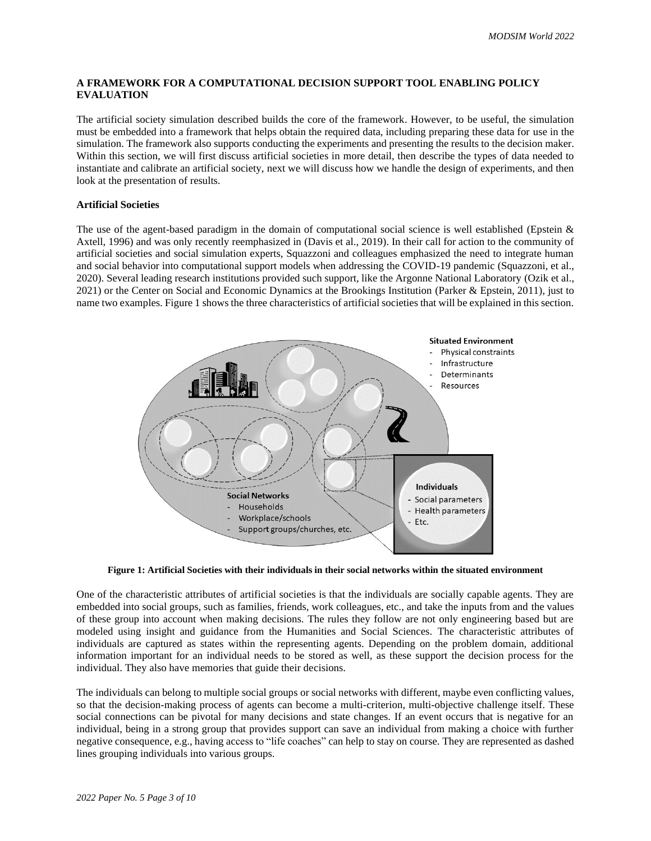## **A FRAMEWORK FOR A COMPUTATIONAL DECISION SUPPORT TOOL ENABLING POLICY EVALUATION**

The artificial society simulation described builds the core of the framework. However, to be useful, the simulation must be embedded into a framework that helps obtain the required data, including preparing these data for use in the simulation. The framework also supports conducting the experiments and presenting the results to the decision maker. Within this section, we will first discuss artificial societies in more detail, then describe the types of data needed to instantiate and calibrate an artificial society, next we will discuss how we handle the design of experiments, and then look at the presentation of results.

## **Artificial Societies**

The use of the agent-based paradigm in the domain of computational social science is well established (Epstein & Axtell, 1996) and was only recently reemphasized in (Davis et al., 2019). In their call for action to the community of artificial societies and social simulation experts, Squazzoni and colleagues emphasized the need to integrate human and social behavior into computational support models when addressing the COVID-19 pandemic (Squazzoni, et al., 2020). Several leading research institutions provided such support, like the Argonne National Laboratory (Ozik et al., 2021) or the Center on Social and Economic Dynamics at the Brookings Institution (Parker & Epstein, 2011), just to name two examples. Figure 1 shows the three characteristics of artificial societies that will be explained in this section.



**Figure 1: Artificial Societies with their individuals in their social networks within the situated environment**

One of the characteristic attributes of artificial societies is that the individuals are socially capable agents. They are embedded into social groups, such as families, friends, work colleagues, etc., and take the inputs from and the values of these group into account when making decisions. The rules they follow are not only engineering based but are modeled using insight and guidance from the Humanities and Social Sciences. The characteristic attributes of individuals are captured as states within the representing agents. Depending on the problem domain, additional information important for an individual needs to be stored as well, as these support the decision process for the individual. They also have memories that guide their decisions.

The individuals can belong to multiple social groups or social networks with different, maybe even conflicting values, so that the decision-making process of agents can become a multi-criterion, multi-objective challenge itself. These social connections can be pivotal for many decisions and state changes. If an event occurs that is negative for an individual, being in a strong group that provides support can save an individual from making a choice with further negative consequence, e.g., having access to "life coaches" can help to stay on course. They are represented as dashed lines grouping individuals into various groups.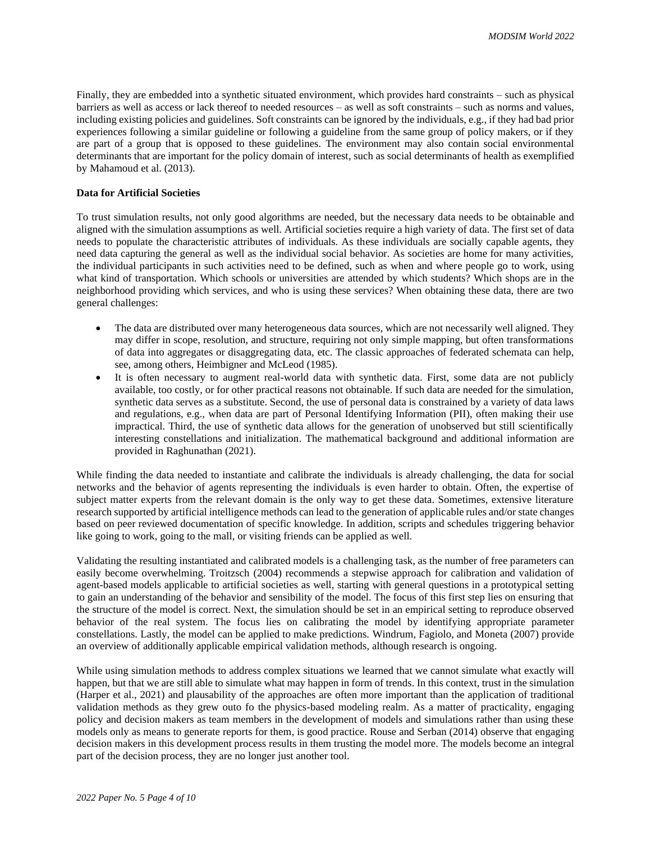Finally, they are embedded into a synthetic situated environment, which provides hard constraints – such as physical barriers as well as access or lack thereof to needed resources – as well as soft constraints – such as norms and values, including existing policies and guidelines. Soft constraints can be ignored by the individuals, e.g., if they had bad prior experiences following a similar guideline or following a guideline from the same group of policy makers, or if they are part of a group that is opposed to these guidelines. The environment may also contain social environmental determinants that are important for the policy domain of interest, such as social determinants of health as exemplified by Mahamoud et al. (2013).

## **Data for Artificial Societies**

To trust simulation results, not only good algorithms are needed, but the necessary data needs to be obtainable and aligned with the simulation assumptions as well. Artificial societies require a high variety of data. The first set of data needs to populate the characteristic attributes of individuals. As these individuals are socially capable agents, they need data capturing the general as well as the individual social behavior. As societies are home for many activities, the individual participants in such activities need to be defined, such as when and where people go to work, using what kind of transportation. Which schools or universities are attended by which students? Which shops are in the neighborhood providing which services, and who is using these services? When obtaining these data, there are two general challenges:

- The data are distributed over many heterogeneous data sources, which are not necessarily well aligned. They may differ in scope, resolution, and structure, requiring not only simple mapping, but often transformations of data into aggregates or disaggregating data, etc. The classic approaches of federated schemata can help, see, among others, Heimbigner and McLeod (1985).
- It is often necessary to augment real-world data with synthetic data. First, some data are not publicly available, too costly, or for other practical reasons not obtainable. If such data are needed for the simulation, synthetic data serves as a substitute. Second, the use of personal data is constrained by a variety of data laws and regulations, e.g., when data are part of Personal Identifying Information (PII), often making their use impractical. Third, the use of synthetic data allows for the generation of unobserved but still scientifically interesting constellations and initialization. The mathematical background and additional information are provided in Raghunathan (2021).

While finding the data needed to instantiate and calibrate the individuals is already challenging, the data for social networks and the behavior of agents representing the individuals is even harder to obtain. Often, the expertise of subject matter experts from the relevant domain is the only way to get these data. Sometimes, extensive literature research supported by artificial intelligence methods can lead to the generation of applicable rules and/or state changes based on peer reviewed documentation of specific knowledge. In addition, scripts and schedules triggering behavior like going to work, going to the mall, or visiting friends can be applied as well.

Validating the resulting instantiated and calibrated models is a challenging task, as the number of free parameters can easily become overwhelming. Troitzsch (2004) recommends a stepwise approach for calibration and validation of agent-based models applicable to artificial societies as well, starting with general questions in a prototypical setting to gain an understanding of the behavior and sensibility of the model. The focus of this first step lies on ensuring that the structure of the model is correct. Next, the simulation should be set in an empirical setting to reproduce observed behavior of the real system. The focus lies on calibrating the model by identifying appropriate parameter constellations. Lastly, the model can be applied to make predictions. Windrum, Fagiolo, and Moneta (2007) provide an overview of additionally applicable empirical validation methods, although research is ongoing.

While using simulation methods to address complex situations we learned that we cannot simulate what exactly will happen, but that we are still able to simulate what may happen in form of trends. In this context, trust in the simulation (Harper et al., 2021) and plausability of the approaches are often more important than the application of traditional validation methods as they grew outo fo the physics-based modeling realm. As a matter of practicality, engaging policy and decision makers as team members in the development of models and simulations rather than using these models only as means to generate reports for them, is good practice. Rouse and Serban (2014) observe that engaging decision makers in this development process results in them trusting the model more. The models become an integral part of the decision process, they are no longer just another tool.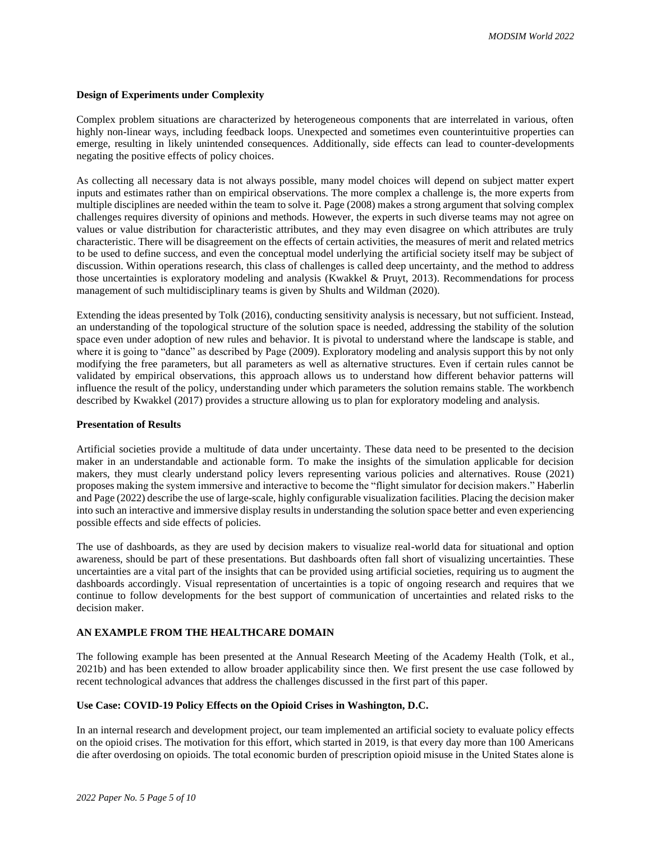#### **Design of Experiments under Complexity**

Complex problem situations are characterized by heterogeneous components that are interrelated in various, often highly non-linear ways, including feedback loops. Unexpected and sometimes even counterintuitive properties can emerge, resulting in likely unintended consequences. Additionally, side effects can lead to counter-developments negating the positive effects of policy choices.

As collecting all necessary data is not always possible, many model choices will depend on subject matter expert inputs and estimates rather than on empirical observations. The more complex a challenge is, the more experts from multiple disciplines are needed within the team to solve it. Page (2008) makes a strong argument that solving complex challenges requires diversity of opinions and methods. However, the experts in such diverse teams may not agree on values or value distribution for characteristic attributes, and they may even disagree on which attributes are truly characteristic. There will be disagreement on the effects of certain activities, the measures of merit and related metrics to be used to define success, and even the conceptual model underlying the artificial society itself may be subject of discussion. Within operations research, this class of challenges is called deep uncertainty, and the method to address those uncertainties is exploratory modeling and analysis (Kwakkel & Pruyt, 2013). Recommendations for process management of such multidisciplinary teams is given by Shults and Wildman (2020).

Extending the ideas presented by Tolk (2016), conducting sensitivity analysis is necessary, but not sufficient. Instead, an understanding of the topological structure of the solution space is needed, addressing the stability of the solution space even under adoption of new rules and behavior. It is pivotal to understand where the landscape is stable, and where it is going to "dance" as described by Page (2009). Exploratory modeling and analysis support this by not only modifying the free parameters, but all parameters as well as alternative structures. Even if certain rules cannot be validated by empirical observations, this approach allows us to understand how different behavior patterns will influence the result of the policy, understanding under which parameters the solution remains stable. The workbench described by Kwakkel (2017) provides a structure allowing us to plan for exploratory modeling and analysis.

### **Presentation of Results**

Artificial societies provide a multitude of data under uncertainty. These data need to be presented to the decision maker in an understandable and actionable form. To make the insights of the simulation applicable for decision makers, they must clearly understand policy levers representing various policies and alternatives. Rouse (2021) proposes making the system immersive and interactive to become the "flight simulator for decision makers." Haberlin and Page (2022) describe the use of large-scale, highly configurable visualization facilities. Placing the decision maker into such an interactive and immersive display results in understanding the solution space better and even experiencing possible effects and side effects of policies.

The use of dashboards, as they are used by decision makers to visualize real-world data for situational and option awareness, should be part of these presentations. But dashboards often fall short of visualizing uncertainties. These uncertainties are a vital part of the insights that can be provided using artificial societies, requiring us to augment the dashboards accordingly. Visual representation of uncertainties is a topic of ongoing research and requires that we continue to follow developments for the best support of communication of uncertainties and related risks to the decision maker.

### **AN EXAMPLE FROM THE HEALTHCARE DOMAIN**

The following example has been presented at the Annual Research Meeting of the Academy Health (Tolk, et al., 2021b) and has been extended to allow broader applicability since then. We first present the use case followed by recent technological advances that address the challenges discussed in the first part of this paper.

## **Use Case: COVID-19 Policy Effects on the Opioid Crises in Washington, D.C.**

In an internal research and development project, our team implemented an artificial society to evaluate policy effects on the opioid crises. The motivation for this effort, which started in 2019, is that every day more than 100 Americans die after overdosing on opioids. The total economic burden of prescription opioid misuse in the United States alone is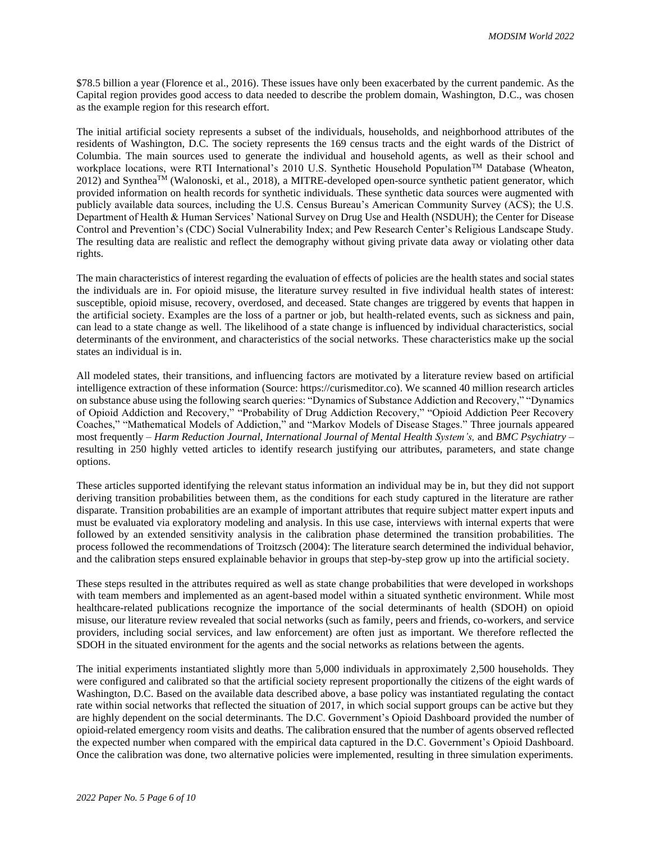\$78.5 billion a year (Florence et al., 2016). These issues have only been exacerbated by the current pandemic. As the Capital region provides good access to data needed to describe the problem domain, Washington, D.C., was chosen as the example region for this research effort.

The initial artificial society represents a subset of the individuals, households, and neighborhood attributes of the residents of Washington, D.C. The society represents the 169 census tracts and the eight wards of the District of Columbia. The main sources used to generate the individual and household agents, as well as their school and workplace locations, were RTI International's 2010 U.S. Synthetic Household Population<sup>TM</sup> Database (Wheaton, 2012) and SyntheaTM (Walonoski, et al., 2018), a MITRE-developed open-source synthetic patient generator, which provided information on health records for synthetic individuals. These synthetic data sources were augmented with publicly available data sources, including the U.S. Census Bureau's American Community Survey (ACS); the U.S. Department of Health & Human Services' National Survey on Drug Use and Health (NSDUH); the Center for Disease Control and Prevention's (CDC) Social Vulnerability Index; and Pew Research Center's Religious Landscape Study. The resulting data are realistic and reflect the demography without giving private data away or violating other data rights.

The main characteristics of interest regarding the evaluation of effects of policies are the health states and social states the individuals are in. For opioid misuse, the literature survey resulted in five individual health states of interest: susceptible, opioid misuse, recovery, overdosed, and deceased. State changes are triggered by events that happen in the artificial society. Examples are the loss of a partner or job, but health-related events, such as sickness and pain, can lead to a state change as well. The likelihood of a state change is influenced by individual characteristics, social determinants of the environment, and characteristics of the social networks. These characteristics make up the social states an individual is in.

All modeled states, their transitions, and influencing factors are motivated by a literature review based on artificial intelligence extraction of these information (Source: https://curismeditor.co). We scanned 40 million research articles on substance abuse using the following search queries: "Dynamics of Substance Addiction and Recovery," "Dynamics of Opioid Addiction and Recovery," "Probability of Drug Addiction Recovery," "Opioid Addiction Peer Recovery Coaches," "Mathematical Models of Addiction," and "Markov Models of Disease Stages." Three journals appeared most frequently – *Harm Reduction Journal, International Journal of Mental Health System's,* and *BMC Psychiatry* – resulting in 250 highly vetted articles to identify research justifying our attributes, parameters, and state change options.

These articles supported identifying the relevant status information an individual may be in, but they did not support deriving transition probabilities between them, as the conditions for each study captured in the literature are rather disparate. Transition probabilities are an example of important attributes that require subject matter expert inputs and must be evaluated via exploratory modeling and analysis. In this use case, interviews with internal experts that were followed by an extended sensitivity analysis in the calibration phase determined the transition probabilities. The process followed the recommendations of Troitzsch (2004): The literature search determined the individual behavior, and the calibration steps ensured explainable behavior in groups that step-by-step grow up into the artificial society.

These steps resulted in the attributes required as well as state change probabilities that were developed in workshops with team members and implemented as an agent-based model within a situated synthetic environment. While most healthcare-related publications recognize the importance of the social determinants of health (SDOH) on opioid misuse, our literature review revealed that social networks (such as family, peers and friends, co-workers, and service providers, including social services, and law enforcement) are often just as important. We therefore reflected the SDOH in the situated environment for the agents and the social networks as relations between the agents.

The initial experiments instantiated slightly more than 5,000 individuals in approximately 2,500 households. They were configured and calibrated so that the artificial society represent proportionally the citizens of the eight wards of Washington, D.C. Based on the available data described above, a base policy was instantiated regulating the contact rate within social networks that reflected the situation of 2017, in which social support groups can be active but they are highly dependent on the social determinants. The D.C. Government's Opioid Dashboard provided the number of opioid-related emergency room visits and deaths. The calibration ensured that the number of agents observed reflected the expected number when compared with the empirical data captured in the D.C. Government's Opioid Dashboard. Once the calibration was done, two alternative policies were implemented, resulting in three simulation experiments.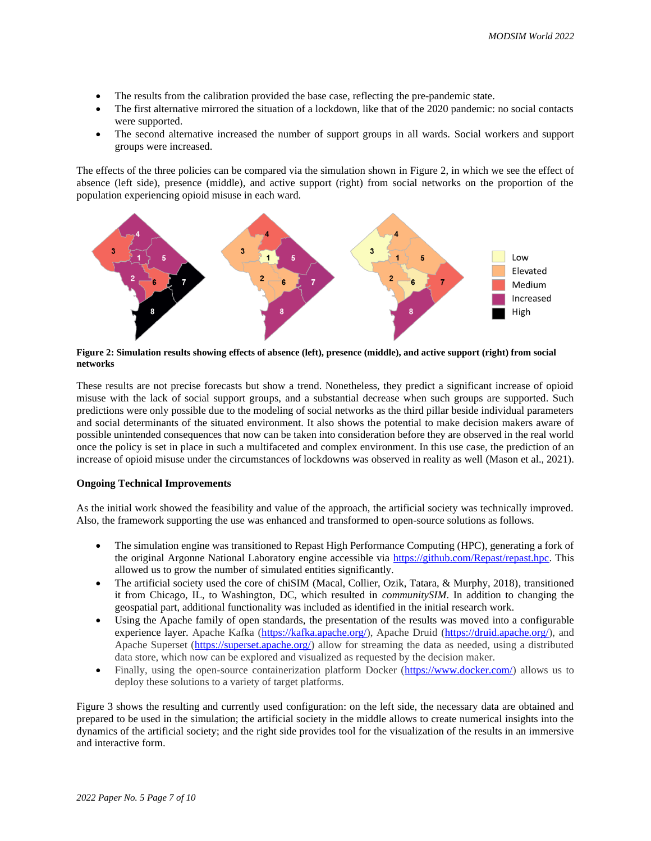- The results from the calibration provided the base case, reflecting the pre-pandemic state.
- The first alternative mirrored the situation of a lockdown, like that of the 2020 pandemic: no social contacts were supported.
- The second alternative increased the number of support groups in all wards. Social workers and support groups were increased.

The effects of the three policies can be compared via the simulation shown in Figure 2, in which we see the effect of absence (left side), presence (middle), and active support (right) from social networks on the proportion of the population experiencing opioid misuse in each ward.



**Figure 2: Simulation results showing effects of absence (left), presence (middle), and active support (right) from social networks**

These results are not precise forecasts but show a trend. Nonetheless, they predict a significant increase of opioid misuse with the lack of social support groups, and a substantial decrease when such groups are supported. Such predictions were only possible due to the modeling of social networks as the third pillar beside individual parameters and social determinants of the situated environment. It also shows the potential to make decision makers aware of possible unintended consequences that now can be taken into consideration before they are observed in the real world once the policy is set in place in such a multifaceted and complex environment. In this use case, the prediction of an increase of opioid misuse under the circumstances of lockdowns was observed in reality as well (Mason et al., 2021).

### **Ongoing Technical Improvements**

As the initial work showed the feasibility and value of the approach, the artificial society was technically improved. Also, the framework supporting the use was enhanced and transformed to open-source solutions as follows.

- The simulation engine was transitioned to Repast High Performance Computing (HPC), generating a fork of the original Argonne National Laboratory engine accessible via [https://github.com/Repast/repast.hpc.](https://github.com/Repast/repast.hpc) This allowed us to grow the number of simulated entities significantly.
- The artificial society used the core of chiSIM (Macal, Collier, Ozik, Tatara, & Murphy, 2018), transitioned it from Chicago, IL, to Washington, DC, which resulted in *communitySIM*. In addition to changing the geospatial part, additional functionality was included as identified in the initial research work.
- Using the Apache family of open standards, the presentation of the results was moved into a configurable experience layer. Apache Kafka [\(https://kafka.apache.org/\)](https://kafka.apache.org/), Apache Druid [\(https://druid.apache.org/\)](https://druid.apache.org/), and Apache Superset [\(https://superset.apache.org/\)](https://superset.apache.org/) allow for streaming the data as needed, using a distributed data store, which now can be explored and visualized as requested by the decision maker.
- Finally, using the open-source containerization platform Docker [\(https://www.docker.com/\)](https://www.docker.com/) allows us to deploy these solutions to a variety of target platforms.

Figure 3 shows the resulting and currently used configuration: on the left side, the necessary data are obtained and prepared to be used in the simulation; the artificial society in the middle allows to create numerical insights into the dynamics of the artificial society; and the right side provides tool for the visualization of the results in an immersive and interactive form.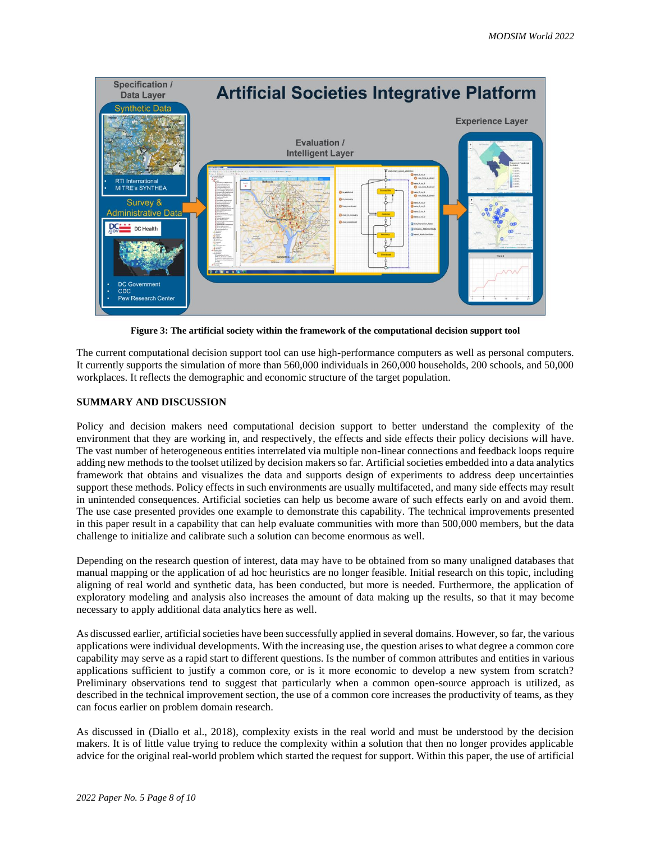

**Figure 3: The artificial society within the framework of the computational decision support tool**

The current computational decision support tool can use high-performance computers as well as personal computers. It currently supports the simulation of more than 560,000 individuals in 260,000 households, 200 schools, and 50,000 workplaces. It reflects the demographic and economic structure of the target population.

## **SUMMARY AND DISCUSSION**

Policy and decision makers need computational decision support to better understand the complexity of the environment that they are working in, and respectively, the effects and side effects their policy decisions will have. The vast number of heterogeneous entities interrelated via multiple non-linear connections and feedback loops require adding new methods to the toolset utilized by decision makers so far. Artificial societies embedded into a data analytics framework that obtains and visualizes the data and supports design of experiments to address deep uncertainties support these methods. Policy effects in such environments are usually multifaceted, and many side effects may result in unintended consequences. Artificial societies can help us become aware of such effects early on and avoid them. The use case presented provides one example to demonstrate this capability. The technical improvements presented in this paper result in a capability that can help evaluate communities with more than 500,000 members, but the data challenge to initialize and calibrate such a solution can become enormous as well.

Depending on the research question of interest, data may have to be obtained from so many unaligned databases that manual mapping or the application of ad hoc heuristics are no longer feasible. Initial research on this topic, including aligning of real world and synthetic data, has been conducted, but more is needed. Furthermore, the application of exploratory modeling and analysis also increases the amount of data making up the results, so that it may become necessary to apply additional data analytics here as well.

As discussed earlier, artificial societies have been successfully applied in several domains. However, so far, the various applications were individual developments. With the increasing use, the question arises to what degree a common core capability may serve as a rapid start to different questions. Is the number of common attributes and entities in various applications sufficient to justify a common core, or is it more economic to develop a new system from scratch? Preliminary observations tend to suggest that particularly when a common open-source approach is utilized, as described in the technical improvement section, the use of a common core increases the productivity of teams, as they can focus earlier on problem domain research.

As discussed in (Diallo et al., 2018), complexity exists in the real world and must be understood by the decision makers. It is of little value trying to reduce the complexity within a solution that then no longer provides applicable advice for the original real-world problem which started the request for support. Within this paper, the use of artificial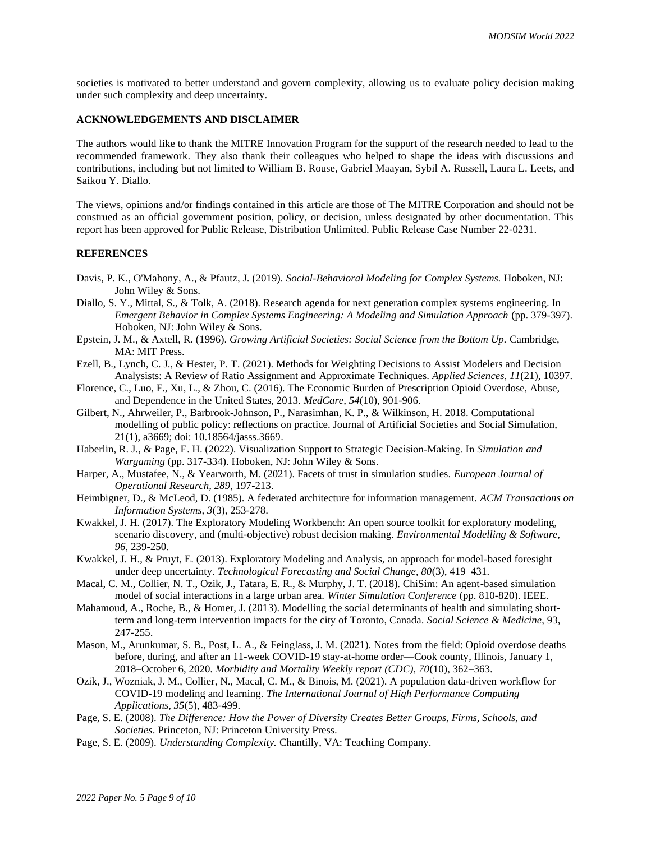societies is motivated to better understand and govern complexity, allowing us to evaluate policy decision making under such complexity and deep uncertainty.

### **ACKNOWLEDGEMENTS AND DISCLAIMER**

The authors would like to thank the MITRE Innovation Program for the support of the research needed to lead to the recommended framework. They also thank their colleagues who helped to shape the ideas with discussions and contributions, including but not limited to William B. Rouse, Gabriel Maayan, Sybil A. Russell, Laura L. Leets, and Saikou Y. Diallo.

The views, opinions and/or findings contained in this article are those of The MITRE Corporation and should not be construed as an official government position, policy, or decision, unless designated by other documentation. This report has been approved for Public Release, Distribution Unlimited. Public Release Case Number 22-0231.

#### **REFERENCES**

- Davis, P. K., O'Mahony, A., & Pfautz, J. (2019). *Social-Behavioral Modeling for Complex Systems.* Hoboken, NJ: John Wiley & Sons.
- Diallo, S. Y., Mittal, S., & Tolk, A. (2018). Research agenda for next generation complex systems engineering. In *Emergent Behavior in Complex Systems Engineering: A Modeling and Simulation Approach* (pp. 379-397). Hoboken, NJ: John Wiley & Sons.
- Epstein, J. M., & Axtell, R. (1996). *Growing Artificial Societies: Social Science from the Bottom Up.* Cambridge, MA: MIT Press.
- Ezell, B., Lynch, C. J., & Hester, P. T. (2021). Methods for Weighting Decisions to Assist Modelers and Decision Analysists: A Review of Ratio Assignment and Approximate Techniques. *Applied Sciences, 11*(21), 10397.
- Florence, C., Luo, F., Xu, L., & Zhou, C. (2016). The Economic Burden of Prescription Opioid Overdose, Abuse, and Dependence in the United States, 2013. *MedCare, 54*(10), 901-906.
- Gilbert, N., Ahrweiler, P., Barbrook-Johnson, P., Narasimhan, K. P., & Wilkinson, H. 2018. Computational modelling of public policy: reflections on practice. Journal of Artificial Societies and Social Simulation, 21(1), a3669; doi: 10.18564/jasss.3669.
- Haberlin, R. J., & Page, E. H. (2022). Visualization Support to Strategic Decision‐Making. In *Simulation and Wargaming* (pp. 317-334). Hoboken, NJ: John Wiley & Sons.
- Harper, A., Mustafee, N., & Yearworth, M. (2021). Facets of trust in simulation studies. *European Journal of Operational Research, 289*, 197-213.
- Heimbigner, D., & McLeod, D. (1985). A federated architecture for information management. *ACM Transactions on Information Systems, 3*(3), 253-278.
- Kwakkel, J. H. (2017). The Exploratory Modeling Workbench: An open source toolkit for exploratory modeling, scenario discovery, and (multi-objective) robust decision making. *Environmental Modelling & Software, 96*, 239-250.
- Kwakkel, J. H., & Pruyt, E. (2013). Exploratory Modeling and Analysis, an approach for model-based foresight under deep uncertainty. *Technological Forecasting and Social Change, 80*(3), 419–431.
- Macal, C. M., Collier, N. T., Ozik, J., Tatara, E. R., & Murphy, J. T. (2018). ChiSim: An agent-based simulation model of social interactions in a large urban area. *Winter Simulation Conference* (pp. 810-820). IEEE.
- Mahamoud, A., Roche, B., & Homer, J. (2013). Modelling the social determinants of health and simulating shortterm and long-term intervention impacts for the city of Toronto, Canada. *Social Science & Medicine*, 93, 247-255.
- Mason, M., Arunkumar, S. B., Post, L. A., & Feinglass, J. M. (2021). Notes from the field: Opioid overdose deaths before, during, and after an 11-week COVID-19 stay-at-home order—Cook county, Illinois, January 1, 2018–October 6, 2020. *Morbidity and Mortality Weekly report (CDC), 70*(10), 362–363.
- Ozik, J., Wozniak, J. M., Collier, N., Macal, C. M., & Binois, M. (2021). A population data-driven workflow for COVID-19 modeling and learning. *The International Journal of High Performance Computing Applications, 35*(5), 483-499.
- Page, S. E. (2008). *The Difference: How the Power of Diversity Creates Better Groups, Firms, Schools, and Societies*. Princeton, NJ: Princeton University Press.
- Page, S. E. (2009). *Understanding Complexity.* Chantilly, VA: Teaching Company.